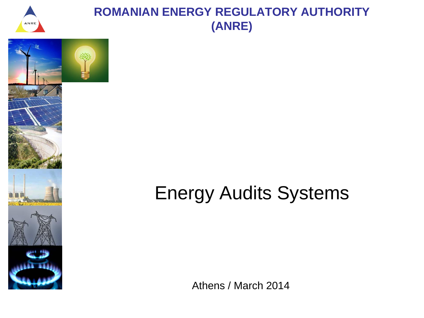

### **ROMANIAN ENERGY REGULATORY AUTHORITY (ANRE)**





# Energy Audits Systems

Athens / March 2014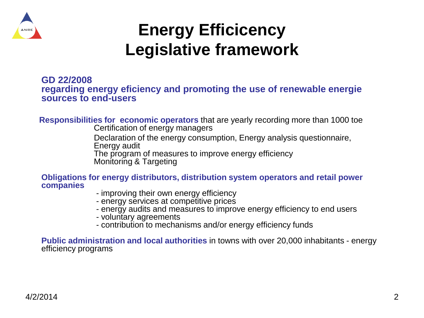

## **Energy Efficicency Legislative framework**

#### **GD 22/2008 regarding energy eficiency and promoting the use of renewable energie sources to end-users**

 **Responsibilities for economic operators** that are yearly recording more than 1000 toe Certification of energy managers

> Declaration of the energy consumption, Energy analysis questionnaire, Energy audit

 The program of measures to improve energy efficiency Monitoring & Targeting

**Obligations for energy distributors, distribution system operators and retail power companies**

- improving their own energy efficiency
- energy services at competitive prices
- energy audits and measures to improve energy efficiency to end users
- voluntary agreements
- contribution to mechanisms and/or energy efficiency funds

**Public administration and local authorities** in towns with over 20,000 inhabitants - energy efficiency programs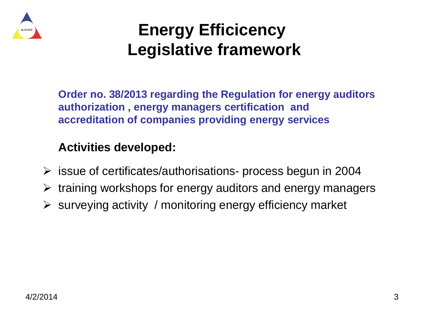

## **Energy Efficicency Legislative framework**

**Order no. 38/2013 regarding the Regulation for energy auditors authorization , energy managers certification and accreditation of companies providing energy services**

#### **Activities developed:**

- $\triangleright$  issue of certificates/authorisations- process begun in 2004
- $\triangleright$  training workshops for energy auditors and energy managers
- $\triangleright$  surveying activity / monitoring energy efficiency market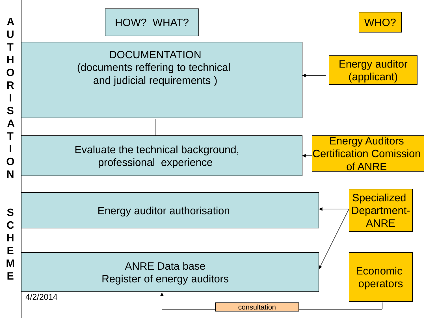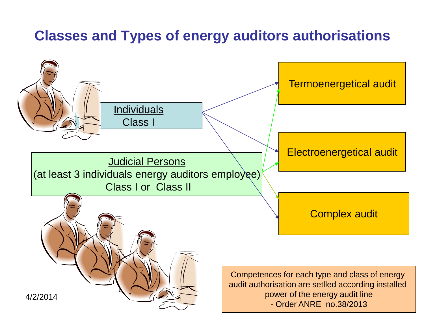### **Classes and Types of energy auditors authorisations**

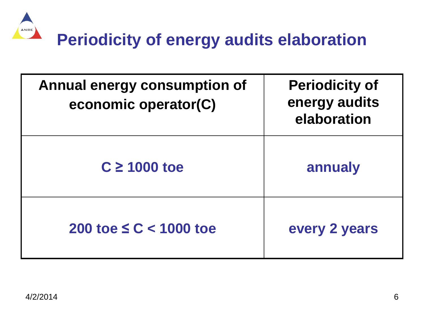

| <b>Annual energy consumption of</b><br>economic operator(C) | <b>Periodicity of</b><br>energy audits<br>elaboration |
|-------------------------------------------------------------|-------------------------------------------------------|
| $C \ge 1000$ toe                                            | annualy                                               |
| 200 toe $\leq C < 1000$ toe                                 | every 2 years                                         |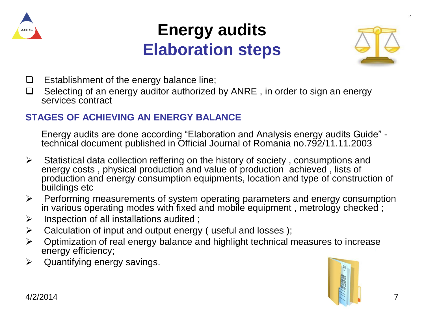

### **Energy audits Elaboration steps**



- $\Box$  Establishment of the energy balance line;
- $\Box$  Selecting of an energy auditor authorized by ANRE, in order to sign an energy services contract

#### **STAGES OF ACHIEVING AN ENERGY BALANCE**

Energy audits are done according "Elaboration and Analysis energy audits Guide" technical document published in Official Journal of Romania no.792/11.11.2003

- $\triangleright$  Statistical data collection reffering on the history of society, consumptions and energy costs , physical production and value of production achieved , lists of production and energy consumption equipments, location and type of construction of buildings etc
- $\triangleright$  Performing measurements of system operating parameters and energy consumption in various operating modes with fixed and mobile equipment , metrology checked ;
- $\triangleright$  Inspection of all installations audited ;
- $\triangleright$  Calculation of input and output energy ( useful and losses );
- $\triangleright$  Optimization of real energy balance and highlight technical measures to increase energy efficiency;
- $\triangleright$  Quantifying energy savings.

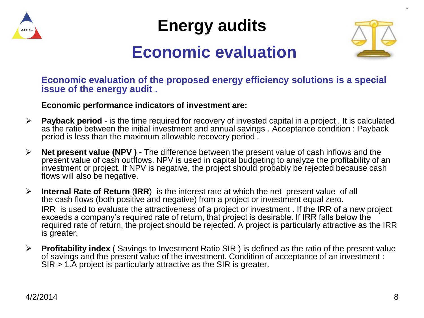

**Energy audits**



### **Economic evaluation**

**Economic evaluation of the proposed energy efficiency solutions is a special issue of the energy audit .**

#### **Economic performance indicators of investment are:**

- **Payback period** is the time required for recovery of invested capital in a project . It is calculated as the ratio between the initial investment and annual savings . Acceptance condition : Payback period is less than the maximum allowable recovery period .
- **Net present value (NPV ) -** The difference between the present value of cash inflows and the present value of cash outflows. NPV is used in capital budgeting to analyze the profitability of an investment or project. If NPV is negative, the project should probably be rejected because cash flows will also be negative.
- **Internal Rate of Return** (**IRR**) is the interest rate at which the net present value of all the cash flows (both positive and negative) from a project or investment equal zero. IRR is used to evaluate the attractiveness of a project or investment . If the IRR of a new project exceeds a company's required rate of return, that project is desirable. If IRR falls below the required rate of return, the project should be rejected. A project is particularly attractive as the IRR is greater.
- **Profitability index** ( Savings to Investment Ratio SIR ) is defined as the ratio of the present value of savings and the present value of the investment. Condition of acceptance of an investment : SIR > 1.A project is particularly attractive as the SIR is greater.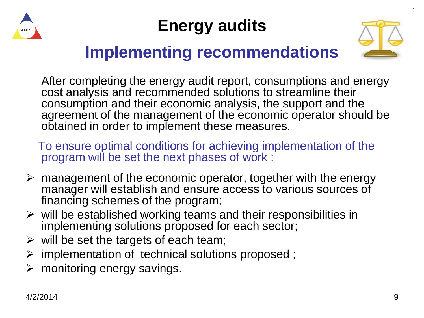

## **Energy audits**



### **Implementing recommendations**

After completing the energy audit report, consumptions and energy cost analysis and recommended solutions to streamline their consumption and their economic analysis, the support and the agreement of the management of the economic operator should be obtained in order to implement these measures.

 To ensure optimal conditions for achieving implementation of the program will be set the next phases of work :

- $\triangleright$  management of the economic operator, together with the energy manager will establish and ensure access to various sources of financing schemes of the program;
- $\triangleright$  will be established working teams and their responsibilities in implementing solutions proposed for each sector;
- $\triangleright$  will be set the targets of each team;
- $\triangleright$  implementation of technical solutions proposed;
- $\triangleright$  monitoring energy savings.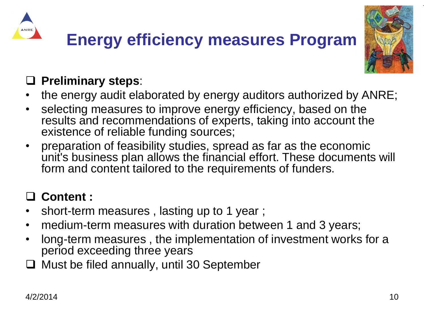



### **Preliminary steps**:

- the energy audit elaborated by energy auditors authorized by ANRE;
- selecting measures to improve energy efficiency, based on the results and recommendations of experts, taking into account the existence of reliable funding sources;
- preparation of feasibility studies, spread as far as the economic unit's business plan allows the financial effort. These documents will form and content tailored to the requirements of funders.

### **Content :**

- short-term measures , lasting up to 1 year ;
- medium-term measures with duration between 1 and 3 years;
- long-term measures , the implementation of investment works for a period exceeding three years
- $\Box$  Must be filed annually, until 30 September